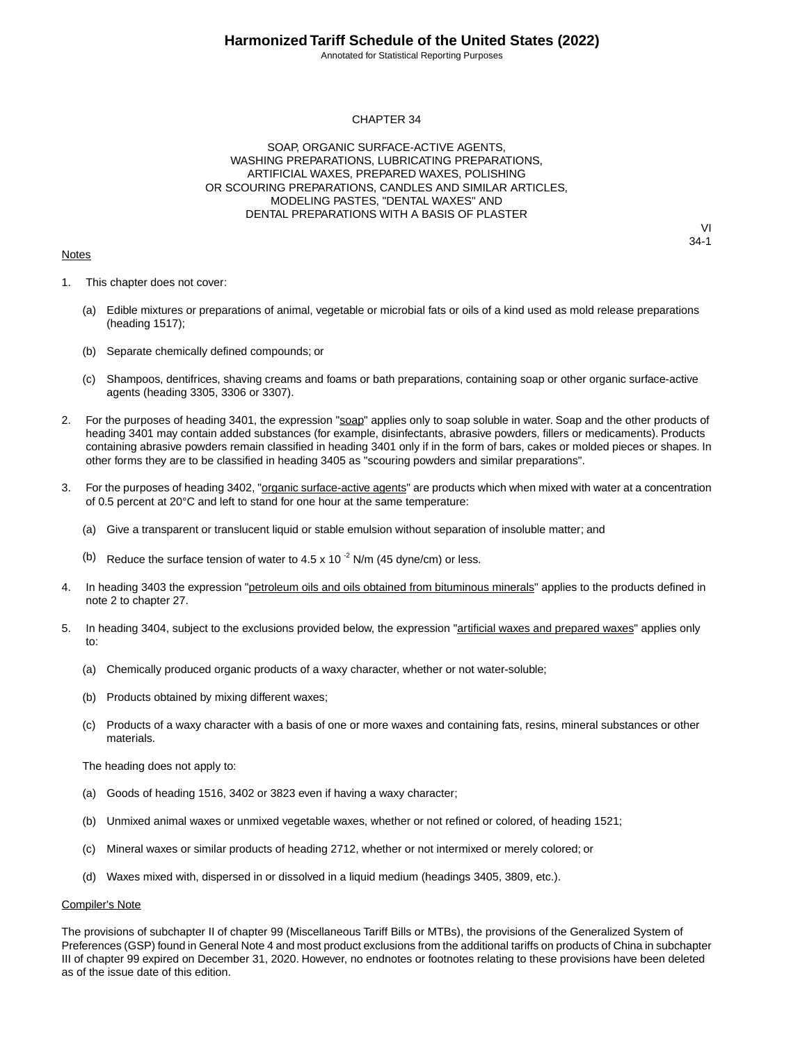Annotated for Statistical Reporting Purposes

#### CHAPTER 34

SOAP, ORGANIC SURFACE-ACTIVE AGENTS, WASHING PREPARATIONS, LUBRICATING PREPARATIONS, ARTIFICIAL WAXES, PREPARED WAXES, POLISHING OR SCOURING PREPARATIONS, CANDLES AND SIMILAR ARTICLES, MODELING PASTES, "DENTAL WAXES" AND DENTAL PREPARATIONS WITH A BASIS OF PLASTER

#### **Notes**

VI 34-1

- 1. This chapter does not cover:
	- (a) Edible mixtures or preparations of animal, vegetable or microbial fats or oils of a kind used as mold release preparations (heading 1517);
	- (b) Separate chemically defined compounds; or
	- (c) Shampoos, dentifrices, shaving creams and foams or bath preparations, containing soap or other organic surface-active agents (heading 3305, 3306 or 3307).
- 2. For the purposes of heading 3401, the expression "soap" applies only to soap soluble in water. Soap and the other products of heading 3401 may contain added substances (for example, disinfectants, abrasive powders, fillers or medicaments). Products containing abrasive powders remain classified in heading 3401 only if in the form of bars, cakes or molded pieces or shapes. In other forms they are to be classified in heading 3405 as "scouring powders and similar preparations".
- 3. For the purposes of heading 3402, "organic surface-active agents" are products which when mixed with water at a concentration of 0.5 percent at 20°C and left to stand for one hour at the same temperature:
	- (a) Give a transparent or translucent liquid or stable emulsion without separation of insoluble matter; and
	- (b) Reduce the surface tension of water to 4.5 x 10 $^{-2}$  N/m (45 dyne/cm) or less.
- 4. In heading 3403 the expression "petroleum oils and oils obtained from bituminous minerals" applies to the products defined in note 2 to chapter 27.
- 5. In heading 3404, subject to the exclusions provided below, the expression "artificial waxes and prepared waxes" applies only to:
	- (a) Chemically produced organic products of a waxy character, whether or not water-soluble;
	- (b) Products obtained by mixing different waxes;
	- (c) Products of a waxy character with a basis of one or more waxes and containing fats, resins, mineral substances or other materials.

The heading does not apply to:

- (a) Goods of heading 1516, 3402 or 3823 even if having a waxy character;
- (b) Unmixed animal waxes or unmixed vegetable waxes, whether or not refined or colored, of heading 1521;
- (c) Mineral waxes or similar products of heading 2712, whether or not intermixed or merely colored; or
- (d) Waxes mixed with, dispersed in or dissolved in a liquid medium (headings 3405, 3809, etc.).

#### Compiler's Note

The provisions of subchapter II of chapter 99 (Miscellaneous Tariff Bills or MTBs), the provisions of the Generalized System of Preferences (GSP) found in General Note 4 and most product exclusions from the additional tariffs on products of China in subchapter III of chapter 99 expired on December 31, 2020. However, no endnotes or footnotes relating to these provisions have been deleted as of the issue date of this edition.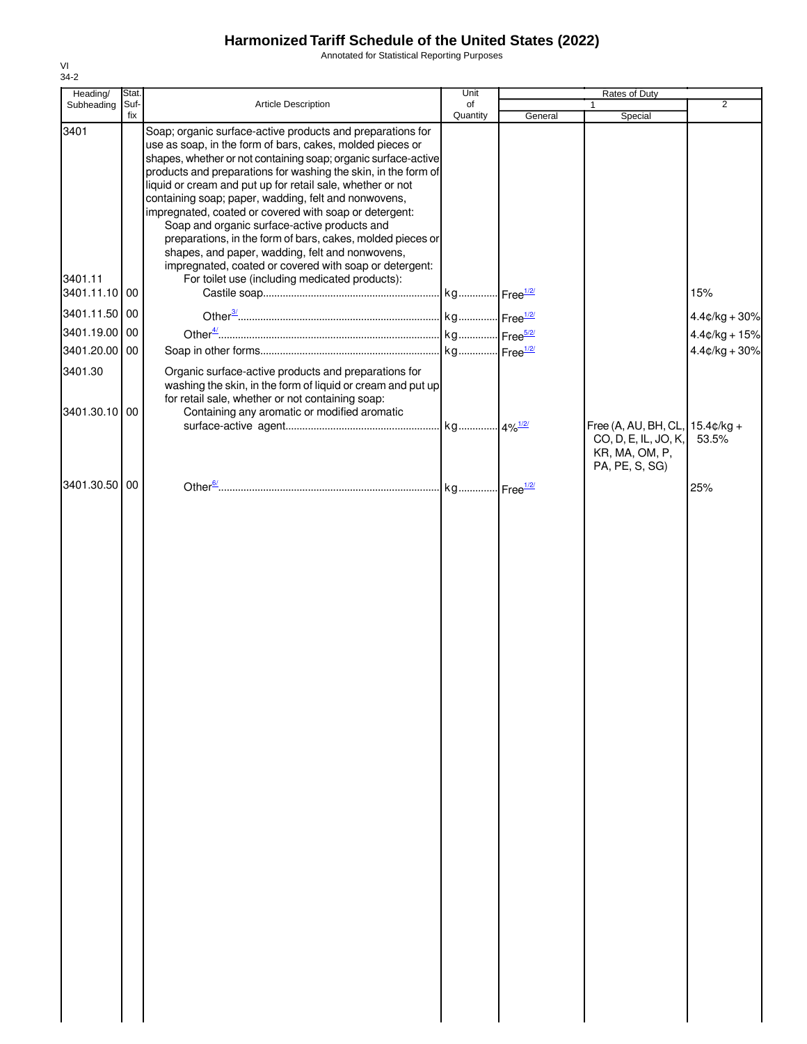Annotated for Statistical Reporting Purposes

| Heading/        | Stat.       |                                                                                                                                                                                                                                                                                                                                                                                                                                                                                                                                                                                                                                                                                                                          | Unit           |         | Rates of Duty                                            |                 |
|-----------------|-------------|--------------------------------------------------------------------------------------------------------------------------------------------------------------------------------------------------------------------------------------------------------------------------------------------------------------------------------------------------------------------------------------------------------------------------------------------------------------------------------------------------------------------------------------------------------------------------------------------------------------------------------------------------------------------------------------------------------------------------|----------------|---------|----------------------------------------------------------|-----------------|
| Subheading      | Suf-<br>fix | Article Description                                                                                                                                                                                                                                                                                                                                                                                                                                                                                                                                                                                                                                                                                                      | of<br>Quantity | General | $\mathbf{1}$<br>Special                                  | $\overline{2}$  |
| 3401<br>3401.11 |             | Soap; organic surface-active products and preparations for<br>use as soap, in the form of bars, cakes, molded pieces or<br>shapes, whether or not containing soap; organic surface-active<br>products and preparations for washing the skin, in the form of<br>liquid or cream and put up for retail sale, whether or not<br>containing soap; paper, wadding, felt and nonwovens,<br>impregnated, coated or covered with soap or detergent:<br>Soap and organic surface-active products and<br>preparations, in the form of bars, cakes, molded pieces or<br>shapes, and paper, wadding, felt and nonwovens,<br>impregnated, coated or covered with soap or detergent:<br>For toilet use (including medicated products): |                |         |                                                          |                 |
| 3401.11.10 00   |             |                                                                                                                                                                                                                                                                                                                                                                                                                                                                                                                                                                                                                                                                                                                          |                |         |                                                          | 15%             |
| 3401.11.50 00   |             |                                                                                                                                                                                                                                                                                                                                                                                                                                                                                                                                                                                                                                                                                                                          |                |         |                                                          | $4.4¢/kg + 30%$ |
| 3401.19.00 00   |             |                                                                                                                                                                                                                                                                                                                                                                                                                                                                                                                                                                                                                                                                                                                          |                |         |                                                          | $4.4¢/kg + 15%$ |
| 3401.20.00 00   |             |                                                                                                                                                                                                                                                                                                                                                                                                                                                                                                                                                                                                                                                                                                                          |                |         |                                                          | $4.4¢/kg + 30%$ |
| 3401.30         |             | Organic surface-active products and preparations for<br>washing the skin, in the form of liquid or cream and put up<br>for retail sale, whether or not containing soap:                                                                                                                                                                                                                                                                                                                                                                                                                                                                                                                                                  |                |         |                                                          |                 |
| 3401.30.10 00   |             | Containing any aromatic or modified aromatic                                                                                                                                                                                                                                                                                                                                                                                                                                                                                                                                                                                                                                                                             |                |         | Free (A, AU, BH, CL, 15.4¢/kg +                          |                 |
|                 |             |                                                                                                                                                                                                                                                                                                                                                                                                                                                                                                                                                                                                                                                                                                                          |                |         | CO, D, E, IL, JO, K,<br>KR, MA, OM, P,<br>PA, PE, S, SG) | 53.5%           |
| 3401.30.50 00   |             |                                                                                                                                                                                                                                                                                                                                                                                                                                                                                                                                                                                                                                                                                                                          |                |         |                                                          | 25%             |
|                 |             |                                                                                                                                                                                                                                                                                                                                                                                                                                                                                                                                                                                                                                                                                                                          |                |         |                                                          |                 |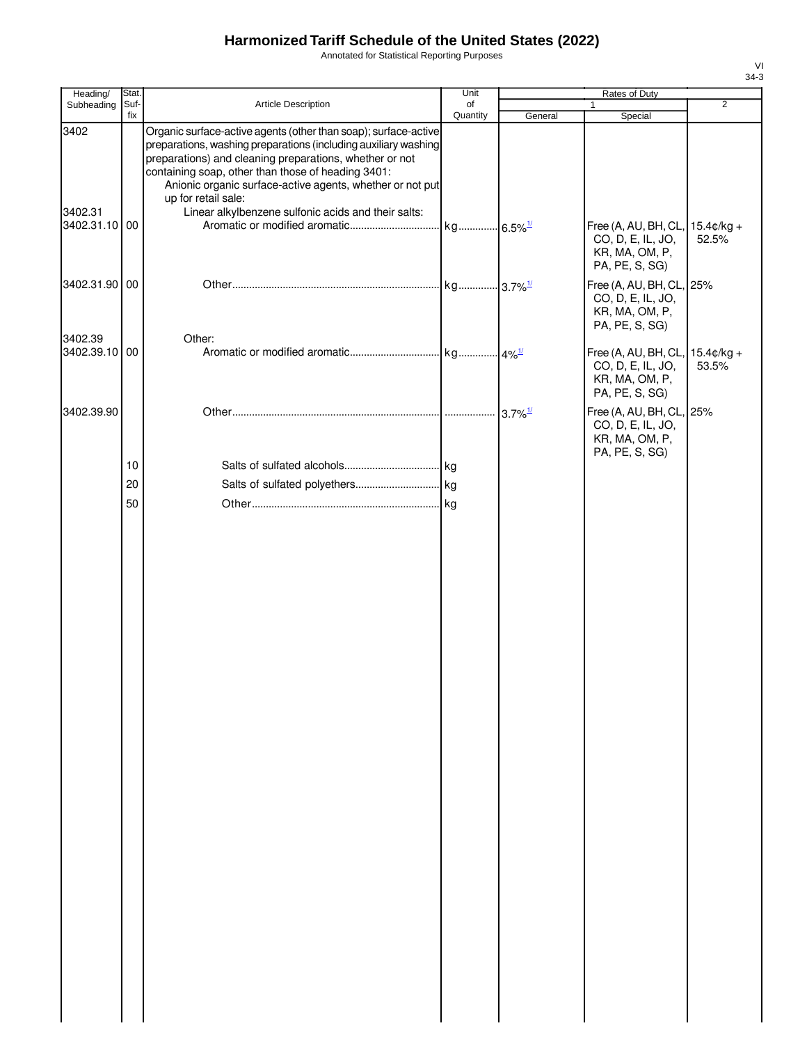Annotated for Statistical Reporting Purposes

| Heading/                 | Stat.       |                                                                                                                                                                                                                                                                                                                                         | Unit           |                       | Rates of Duty                                                                            |                |
|--------------------------|-------------|-----------------------------------------------------------------------------------------------------------------------------------------------------------------------------------------------------------------------------------------------------------------------------------------------------------------------------------------|----------------|-----------------------|------------------------------------------------------------------------------------------|----------------|
| Subheading               | Suf-<br>fix | Article Description                                                                                                                                                                                                                                                                                                                     | of<br>Quantity | General               | $\mathbf{1}$<br>Special                                                                  | $\overline{2}$ |
| 3402                     |             | Organic surface-active agents (other than soap); surface-active<br>preparations, washing preparations (including auxiliary washing<br>preparations) and cleaning preparations, whether or not<br>containing soap, other than those of heading 3401:<br>Anionic organic surface-active agents, whether or not put<br>up for retail sale: |                |                       |                                                                                          |                |
| 3402.31<br>3402.31.10 00 |             | Linear alkylbenzene sulfonic acids and their salts:                                                                                                                                                                                                                                                                                     |                |                       | Free (A, AU, BH, CL, 15.4¢/kg +<br>CO, D, E, IL, JO,<br>KR, MA, OM, P,<br>PA, PE, S, SG) | 52.5%          |
| 3402.31.90 00            |             |                                                                                                                                                                                                                                                                                                                                         |                |                       | Free (A, AU, BH, CL, 25%<br>CO, D, E, IL, JO,<br>KR, MA, OM, P,<br>PA, PE, S, SG)        |                |
| 3402.39                  |             | Other:                                                                                                                                                                                                                                                                                                                                  |                |                       |                                                                                          |                |
| 3402.39.10 00            |             |                                                                                                                                                                                                                                                                                                                                         |                |                       | Free (A, AU, BH, CL, 15.4¢/kg +<br>CO, D, E, IL, JO,<br>KR, MA, OM, P,<br>PA, PE, S, SG) | 53.5%          |
| 3402.39.90               |             |                                                                                                                                                                                                                                                                                                                                         |                | $3.7\%$ <sup>1/</sup> | Free (A, AU, BH, CL, 25%<br>CO, D, E, IL, JO,<br>KR, MA, OM, P,<br>PA, PE, S, SG)        |                |
|                          | 10          |                                                                                                                                                                                                                                                                                                                                         |                |                       |                                                                                          |                |
|                          | 20          |                                                                                                                                                                                                                                                                                                                                         |                |                       |                                                                                          |                |
|                          | 50          |                                                                                                                                                                                                                                                                                                                                         |                |                       |                                                                                          |                |
|                          |             |                                                                                                                                                                                                                                                                                                                                         |                |                       |                                                                                          |                |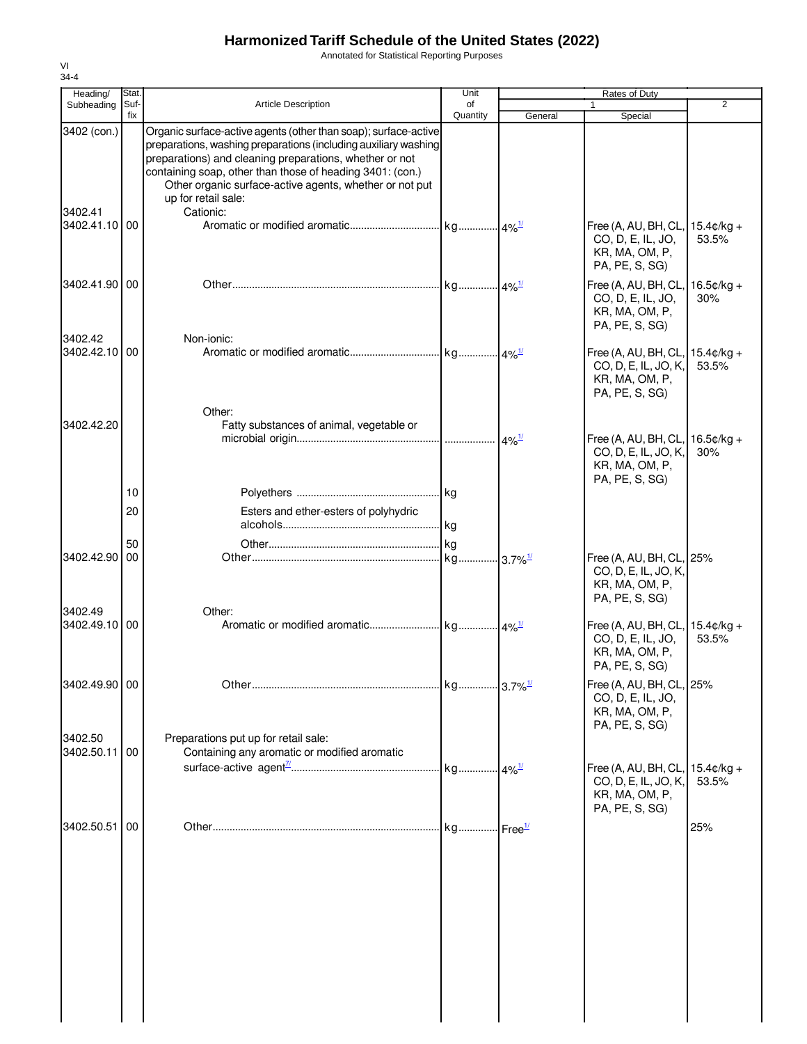Annotated for Statistical Reporting Purposes

| Heading/                 | Stat.       |                                                                                                                                                                                                                                                                                                                                                           | Unit           |         | Rates of Duty                                                                                 |                |
|--------------------------|-------------|-----------------------------------------------------------------------------------------------------------------------------------------------------------------------------------------------------------------------------------------------------------------------------------------------------------------------------------------------------------|----------------|---------|-----------------------------------------------------------------------------------------------|----------------|
| Subheading               | Suf-<br>fix | <b>Article Description</b>                                                                                                                                                                                                                                                                                                                                | of<br>Quantity | General | 1<br>Special                                                                                  | $\overline{2}$ |
| 3402 (con.)<br>3402.41   |             | Organic surface-active agents (other than soap); surface-active<br>preparations, washing preparations (including auxiliary washing<br>preparations) and cleaning preparations, whether or not<br>containing soap, other than those of heading 3401: (con.)<br>Other organic surface-active agents, whether or not put<br>up for retail sale:<br>Cationic: |                |         |                                                                                               |                |
| 3402.41.10 00            |             |                                                                                                                                                                                                                                                                                                                                                           |                |         | Free (A, AU, BH, CL, 15.4¢/kg +<br>CO, D, E, IL, JO,<br>KR, MA, OM, P,<br>PA, PE, S, SG)      | 53.5%          |
| 3402.41.90   00          |             |                                                                                                                                                                                                                                                                                                                                                           |                |         | Free (A, AU, BH, CL, 16.5¢/kg +<br>CO, D, E, IL, JO,<br>KR, MA, OM, P,<br>PA, PE, S, SG)      | 30%            |
| 3402.42<br>3402.42.10 00 |             | Non-ionic:                                                                                                                                                                                                                                                                                                                                                |                |         | Free (A, AU, BH, CL, 15.4¢/kg +<br>CO, D, E, IL, JO, K,<br>KR, MA, OM, P,<br>PA, PE, S, SG)   | 53.5%          |
| 3402.42.20               |             | Other:<br>Fatty substances of animal, vegetable or                                                                                                                                                                                                                                                                                                        |                |         | Free (A, AU, BH, CL, $16.5¢/kg +$<br>CO, D, E, IL, JO, K,<br>KR, MA, OM, P,<br>PA, PE, S, SG) | 30%            |
|                          | 10<br>20    | Esters and ether-esters of polyhydric                                                                                                                                                                                                                                                                                                                     |                |         |                                                                                               |                |
|                          | 50          |                                                                                                                                                                                                                                                                                                                                                           | <b>kg</b>      |         |                                                                                               |                |
| 3402.42.90               | 00          |                                                                                                                                                                                                                                                                                                                                                           |                |         | Free (A, AU, BH, CL, 25%<br>CO, D, E, IL, JO, K,<br>KR, MA, OM, P,<br>PA, PE, S, SG)          |                |
| 3402.49<br>3402.49.10 00 |             | Other:                                                                                                                                                                                                                                                                                                                                                    |                |         | Free (A, AU, BH, CL, 15.4¢/kg +<br>CO, D, E, IL, JO,<br>KR, MA, OM, P,<br>PA, PE, S, SG)      | 53.5%          |
| 3402.49.90 00            |             |                                                                                                                                                                                                                                                                                                                                                           |                |         | Free (A, AU, BH, CL, 25%<br>CO, D, E, IL, JO,<br>KR, MA, OM, P,<br>PA, PE, S, SG)             |                |
| 3402.50<br>3402.50.11    | 00          | Preparations put up for retail sale:<br>Containing any aromatic or modified aromatic                                                                                                                                                                                                                                                                      |                |         |                                                                                               |                |
|                          |             |                                                                                                                                                                                                                                                                                                                                                           |                |         | Free (A, AU, BH, CL, $15.4¢/kg +$<br>CO, D, E, IL, JO, K,<br>KR, MA, OM, P,<br>PA, PE, S, SG) | 53.5%          |
| 3402.50.51               | 00          |                                                                                                                                                                                                                                                                                                                                                           |                |         |                                                                                               | 25%            |
|                          |             |                                                                                                                                                                                                                                                                                                                                                           |                |         |                                                                                               |                |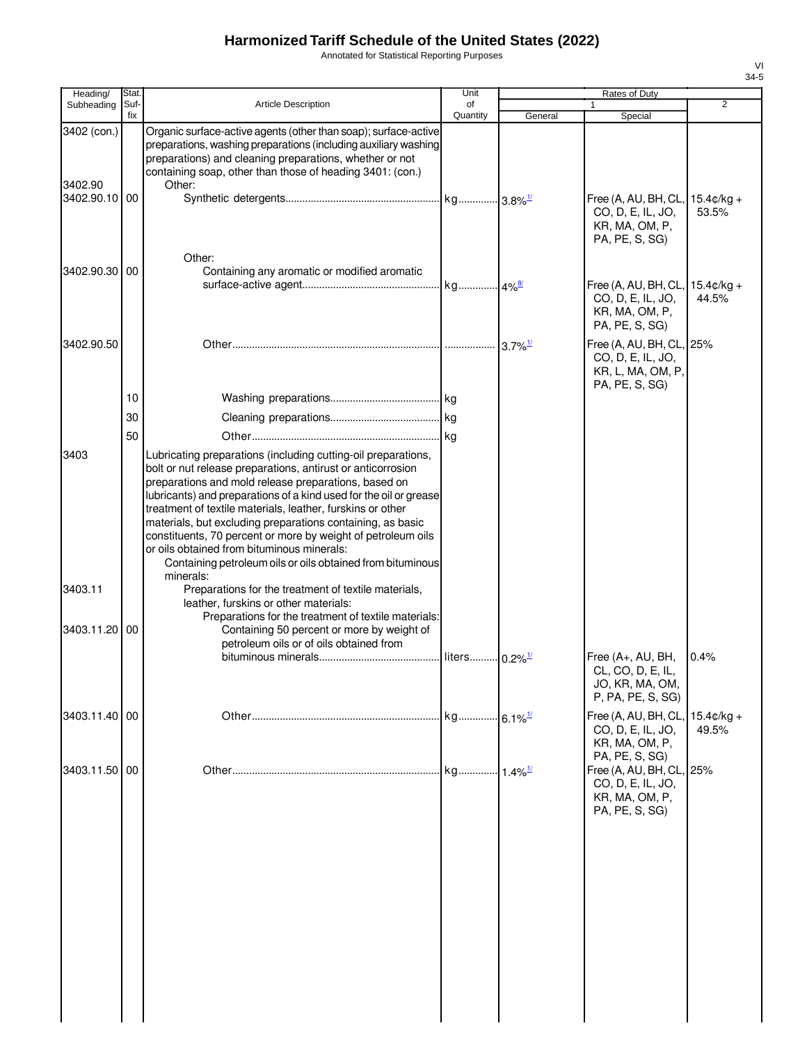Annotated for Statistical Reporting Purposes

| Heading/                                | Stat. |                                                                                                                                                                                                                                                                                                                                                                                                                                                                                                                                                                   | Unit                      |                       | Rates of Duty                                                                                       |       |
|-----------------------------------------|-------|-------------------------------------------------------------------------------------------------------------------------------------------------------------------------------------------------------------------------------------------------------------------------------------------------------------------------------------------------------------------------------------------------------------------------------------------------------------------------------------------------------------------------------------------------------------------|---------------------------|-----------------------|-----------------------------------------------------------------------------------------------------|-------|
| Subheading                              | Suf-  | <b>Article Description</b>                                                                                                                                                                                                                                                                                                                                                                                                                                                                                                                                        | of                        |                       |                                                                                                     | 2     |
|                                         | fix   |                                                                                                                                                                                                                                                                                                                                                                                                                                                                                                                                                                   | Quantity                  | General               | Special                                                                                             |       |
| 3402 (con.)<br>3402.90<br>3402.90.10 00 |       | Organic surface-active agents (other than soap); surface-active<br>preparations, washing preparations (including auxiliary washing<br>preparations) and cleaning preparations, whether or not<br>containing soap, other than those of heading 3401: (con.)<br>Other:                                                                                                                                                                                                                                                                                              |                           |                       | Free (A, AU, BH, CL, 15.4¢/kg +<br>CO, D, E, IL, JO,<br>KR, MA, OM, P,<br>PA, PE, S, SG)            | 53.5% |
| 3402.90.30 00                           |       | Other:<br>Containing any aromatic or modified aromatic                                                                                                                                                                                                                                                                                                                                                                                                                                                                                                            |                           |                       | Free (A, AU, BH, CL, 15.4¢/kg +<br>CO, D, E, IL, JO,<br>KR, MA, OM, P,                              | 44.5% |
| 3402.90.50                              |       |                                                                                                                                                                                                                                                                                                                                                                                                                                                                                                                                                                   |                           |                       | PA, PE, S, SG)<br>Free (A, AU, BH, CL, 25%<br>CO, D, E, IL, JO,<br>KR, L, MA, OM, P,                |       |
|                                         | 10    |                                                                                                                                                                                                                                                                                                                                                                                                                                                                                                                                                                   |                           |                       | PA, PE, S, SG)                                                                                      |       |
|                                         | 30    |                                                                                                                                                                                                                                                                                                                                                                                                                                                                                                                                                                   |                           |                       |                                                                                                     |       |
|                                         |       |                                                                                                                                                                                                                                                                                                                                                                                                                                                                                                                                                                   |                           |                       |                                                                                                     |       |
| 3403                                    | 50    | Lubricating preparations (including cutting-oil preparations,<br>bolt or nut release preparations, antirust or anticorrosion<br>preparations and mold release preparations, based on<br>lubricants) and preparations of a kind used for the oil or grease<br>treatment of textile materials, leather, furskins or other<br>materials, but excluding preparations containing, as basic<br>constituents, 70 percent or more by weight of petroleum oils<br>or oils obtained from bituminous minerals:<br>Containing petroleum oils or oils obtained from bituminous |                           |                       |                                                                                                     |       |
|                                         |       | minerals:                                                                                                                                                                                                                                                                                                                                                                                                                                                                                                                                                         |                           |                       |                                                                                                     |       |
| 3403.11<br>3403.11.20 00                |       | Preparations for the treatment of textile materials,<br>leather, furskins or other materials:<br>Preparations for the treatment of textile materials:<br>Containing 50 percent or more by weight of<br>petroleum oils or of oils obtained from                                                                                                                                                                                                                                                                                                                    | liters 0.2% <sup>1/</sup> |                       | Free (A+, AU, BH,<br>CL, CO, D, E, IL,<br>JO, KR, MA, OM,<br>P, PA, PE, S, SG)                      | 0.4%  |
| 3403.11.40 00                           |       |                                                                                                                                                                                                                                                                                                                                                                                                                                                                                                                                                                   | kg 6.1% <sup>1/</sup>     |                       | Free (A, AU, BH, CL, 15.4¢/kg +<br>CO, D, E, IL, JO,<br>KR, MA, OM, P,                              | 49.5% |
| 3403.11.50 00                           |       |                                                                                                                                                                                                                                                                                                                                                                                                                                                                                                                                                                   | ka                        | $1.4\%$ <sup>1/</sup> | PA, PE, S, SG)<br>Free (A, AU, BH, CL, 25%<br>CO, D, E, IL, JO,<br>KR, MA, OM, P,<br>PA, PE, S, SG) |       |
|                                         |       |                                                                                                                                                                                                                                                                                                                                                                                                                                                                                                                                                                   |                           |                       |                                                                                                     |       |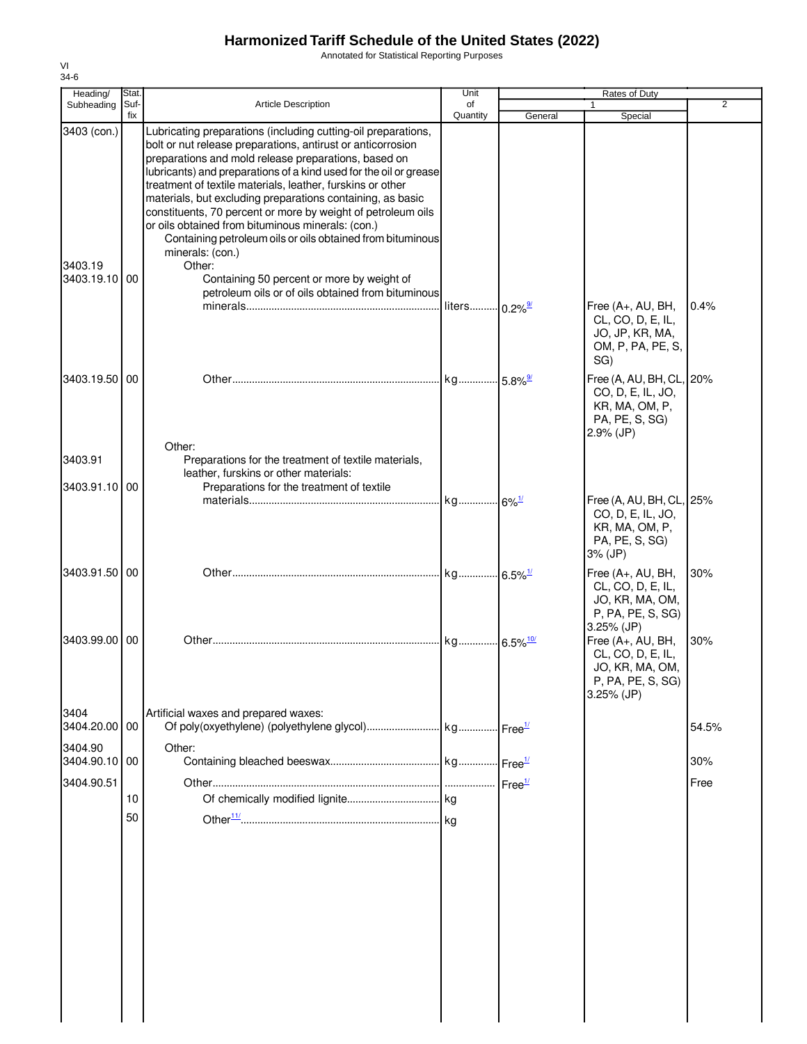Annotated for Statistical Reporting Purposes

| Heading/                             | Stat.       |                                                                                                                                                                                                                                                                                                                                                                                                                                                                                                                                                                                                                                                                                                            | Unit                      |         | Rates of Duty                                                                                  |       |
|--------------------------------------|-------------|------------------------------------------------------------------------------------------------------------------------------------------------------------------------------------------------------------------------------------------------------------------------------------------------------------------------------------------------------------------------------------------------------------------------------------------------------------------------------------------------------------------------------------------------------------------------------------------------------------------------------------------------------------------------------------------------------------|---------------------------|---------|------------------------------------------------------------------------------------------------|-------|
| Subheading                           | Suf-<br>fix | <b>Article Description</b>                                                                                                                                                                                                                                                                                                                                                                                                                                                                                                                                                                                                                                                                                 | of<br>Quantity            | General | 1<br>Special                                                                                   | 2     |
| 3403 (con.)<br>3403.19<br>3403.19.10 | 00          | Lubricating preparations (including cutting-oil preparations,<br>bolt or nut release preparations, antirust or anticorrosion<br>preparations and mold release preparations, based on<br>lubricants) and preparations of a kind used for the oil or grease<br>treatment of textile materials, leather, furskins or other<br>materials, but excluding preparations containing, as basic<br>constituents, 70 percent or more by weight of petroleum oils<br>or oils obtained from bituminous minerals: (con.)<br>Containing petroleum oils or oils obtained from bituminous<br>minerals: (con.)<br>Other:<br>Containing 50 percent or more by weight of<br>petroleum oils or of oils obtained from bituminous | liters 0.2% <sup>9/</sup> |         | Free (A+, AU, BH,<br>CL, CO, D, E, IL,<br>JO, JP, KR, MA,<br>OM, P, PA, PE, S,<br>SG)          | 0.4%  |
| 3403.19.50 00                        |             |                                                                                                                                                                                                                                                                                                                                                                                                                                                                                                                                                                                                                                                                                                            | kg 5.8% <sup>9/</sup>     |         | Free (A, AU, BH, CL, 20%                                                                       |       |
| 3403.91                              |             | Other:<br>Preparations for the treatment of textile materials,<br>leather, furskins or other materials:                                                                                                                                                                                                                                                                                                                                                                                                                                                                                                                                                                                                    |                           |         | CO, D, E, IL, JO,<br>KR, MA, OM, P,<br>PA, PE, S, SG)<br>$2.9\%$ (JP)                          |       |
| 3403.91.10 00                        |             | Preparations for the treatment of textile                                                                                                                                                                                                                                                                                                                                                                                                                                                                                                                                                                                                                                                                  |                           |         |                                                                                                |       |
|                                      |             |                                                                                                                                                                                                                                                                                                                                                                                                                                                                                                                                                                                                                                                                                                            |                           |         | Free (A, AU, BH, CL, 25%<br>CO, D, E, IL, JO,<br>KR, MA, OM, P,<br>PA, PE, S, SG)<br>3% (JP)   |       |
| 3403.91.50 00                        |             |                                                                                                                                                                                                                                                                                                                                                                                                                                                                                                                                                                                                                                                                                                            |                           |         | Free (A+, AU, BH,<br>CL, CO, D, E, IL,<br>JO, KR, MA, OM,<br>P, PA, PE, S, SG)<br>3.25% (JP)   | 30%   |
| 3403.99.00                           | 00          |                                                                                                                                                                                                                                                                                                                                                                                                                                                                                                                                                                                                                                                                                                            |                           |         | Free (A+, AU, BH,<br>CL, CO, D, E, IL,<br>JO, KR, MA, OM,<br>P, PA, PE, S, SG)<br>$3.25%$ (JP) | 30%   |
| 3404<br>3404.20.00 00                |             | Artificial waxes and prepared waxes:                                                                                                                                                                                                                                                                                                                                                                                                                                                                                                                                                                                                                                                                       |                           |         |                                                                                                | 54.5% |
| 3404.90<br>3404.90.10                | 00          | Other:                                                                                                                                                                                                                                                                                                                                                                                                                                                                                                                                                                                                                                                                                                     |                           |         |                                                                                                | 30%   |
| 3404.90.51                           |             |                                                                                                                                                                                                                                                                                                                                                                                                                                                                                                                                                                                                                                                                                                            |                           |         |                                                                                                | Free  |
|                                      | 10          |                                                                                                                                                                                                                                                                                                                                                                                                                                                                                                                                                                                                                                                                                                            |                           |         |                                                                                                |       |
|                                      | 50          |                                                                                                                                                                                                                                                                                                                                                                                                                                                                                                                                                                                                                                                                                                            |                           |         |                                                                                                |       |
|                                      |             |                                                                                                                                                                                                                                                                                                                                                                                                                                                                                                                                                                                                                                                                                                            |                           |         |                                                                                                |       |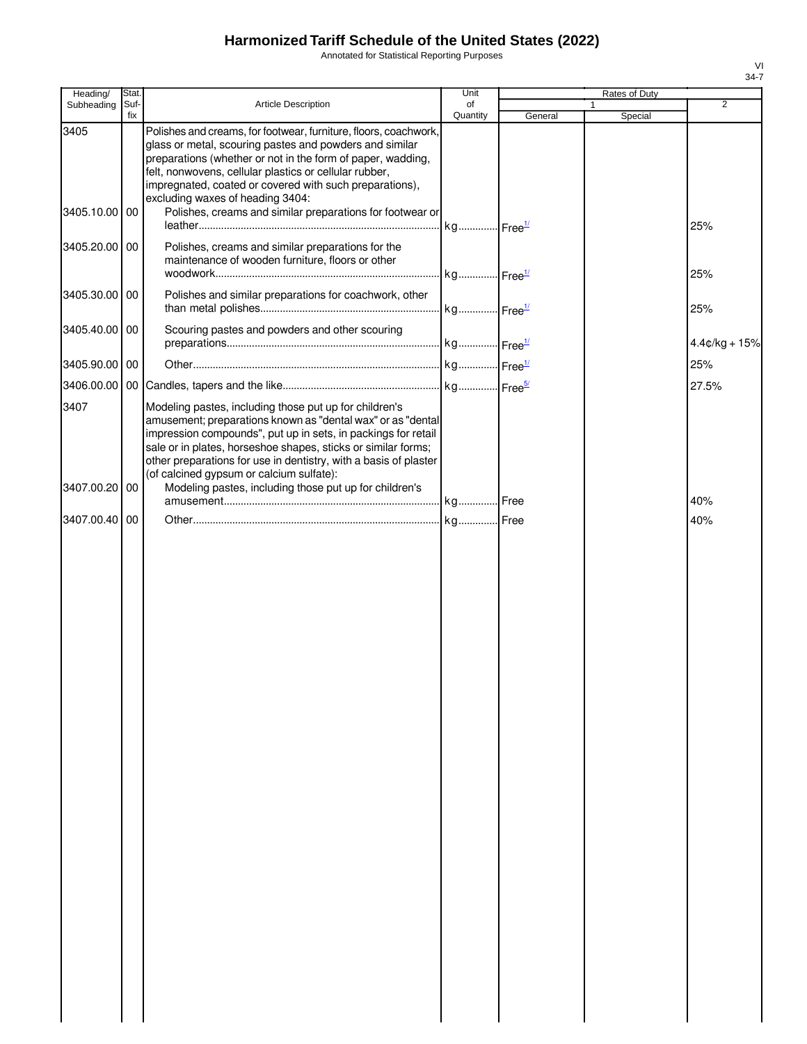Annotated for Statistical Reporting Purposes

| Heading/      | Stat.       |                                                                                                                                                                                                                                                                                                                                                                         | Unit           |         | Rates of Duty           |                 |
|---------------|-------------|-------------------------------------------------------------------------------------------------------------------------------------------------------------------------------------------------------------------------------------------------------------------------------------------------------------------------------------------------------------------------|----------------|---------|-------------------------|-----------------|
| Subheading    | Suf-<br>fix | <b>Article Description</b>                                                                                                                                                                                                                                                                                                                                              | of<br>Quantity | General | $\mathbf{1}$<br>Special | 2               |
| 3405          |             | Polishes and creams, for footwear, furniture, floors, coachwork,<br>glass or metal, scouring pastes and powders and similar<br>preparations (whether or not in the form of paper, wadding,<br>felt, nonwovens, cellular plastics or cellular rubber,<br>impregnated, coated or covered with such preparations),<br>excluding waxes of heading 3404:                     |                |         |                         |                 |
| 3405.10.00 00 |             | Polishes, creams and similar preparations for footwear or                                                                                                                                                                                                                                                                                                               |                |         |                         | 25%             |
| 3405.20.00 00 |             | Polishes, creams and similar preparations for the<br>maintenance of wooden furniture, floors or other                                                                                                                                                                                                                                                                   |                |         |                         | 25%             |
| 3405.30.00 00 |             | Polishes and similar preparations for coachwork, other                                                                                                                                                                                                                                                                                                                  |                |         |                         | 25%             |
| 3405.40.00 00 |             | Scouring pastes and powders and other scouring                                                                                                                                                                                                                                                                                                                          |                |         |                         | $4.4¢/kg + 15%$ |
| 3405.90.00 00 |             |                                                                                                                                                                                                                                                                                                                                                                         |                |         |                         | 25%             |
|               |             |                                                                                                                                                                                                                                                                                                                                                                         |                |         |                         | 27.5%           |
| 3407          |             | Modeling pastes, including those put up for children's<br>amusement; preparations known as "dental wax" or as "dental<br>impression compounds", put up in sets, in packings for retail<br>sale or in plates, horseshoe shapes, sticks or similar forms;<br>other preparations for use in dentistry, with a basis of plaster<br>(of calcined gypsum or calcium sulfate): |                |         |                         |                 |
| 3407.00.20 00 |             | Modeling pastes, including those put up for children's                                                                                                                                                                                                                                                                                                                  |                |         |                         | 40%             |
| 3407.00.40 00 |             |                                                                                                                                                                                                                                                                                                                                                                         |                |         |                         | 40%             |
|               |             |                                                                                                                                                                                                                                                                                                                                                                         |                |         |                         |                 |